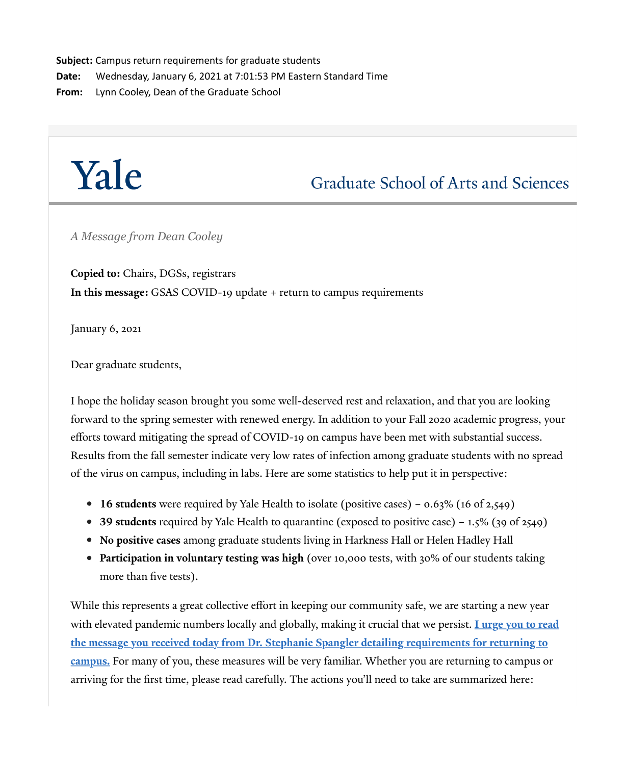**Subject:** Campus return requirements for graduate students **Date:** Wednesday, January 6, 2021 at 7:01:53 PM Eastern Standard Time **From:** Lynn Cooley, Dean of the Graduate School

# Yale

## **Graduate School of Arts and Sciences**

*A Message from Dean Cooley*

**Copied to:** Chairs, DGSs, registrars **In this message:** GSAS COVID-19 update + return to campus requirements

January 6, 2021

Dear graduate students,

I hope the holiday season brought you some well-deserved rest and relaxation, and that you are looking forward to the spring semester with renewed energy. In addition to your Fall 2020 academic progress, your efforts toward mitigating the spread of COVID-19 on campus have been met with substantial success. Results from the fall semester indicate very low rates of infection among graduate students with no spread of the virus on campus, including in labs. Here are some statistics to help put it in perspective:

- **16 students** were required by Yale Health to isolate (positive cases) 0.63% (16 of 2,549)
- **39 students** required by Yale Health to quarantine (exposed to positive case) 1.5% (39 of 2549)
- **No positive cases** among graduate students living in Harkness Hall or Helen Hadley Hall
- **Participation in voluntary testing was high** (over 10,000 tests, with 30% of our students taking more than five tests).

While this represents a great collective effort in keeping our community safe, we are starting a new year [with elevated pandemic numbers locally and globally, making it crucial that we persist.](https://click.message.yale.edu/?qs=7d1298d453a9eebd51ffb8d07116c56916e6c24bd6ec41ead83d2aa605f03dcb8116619983ee485de9c1f71a21a3648f9e3788a84768c267) **I urge you to read the message you received today from Dr. Stephanie Spangler detailing requirements for returning to campus.** For many of you, these measures will be very familiar. Whether you are returning to campus or arriving for the first time, please read carefully. The actions you'll need to take are summarized here: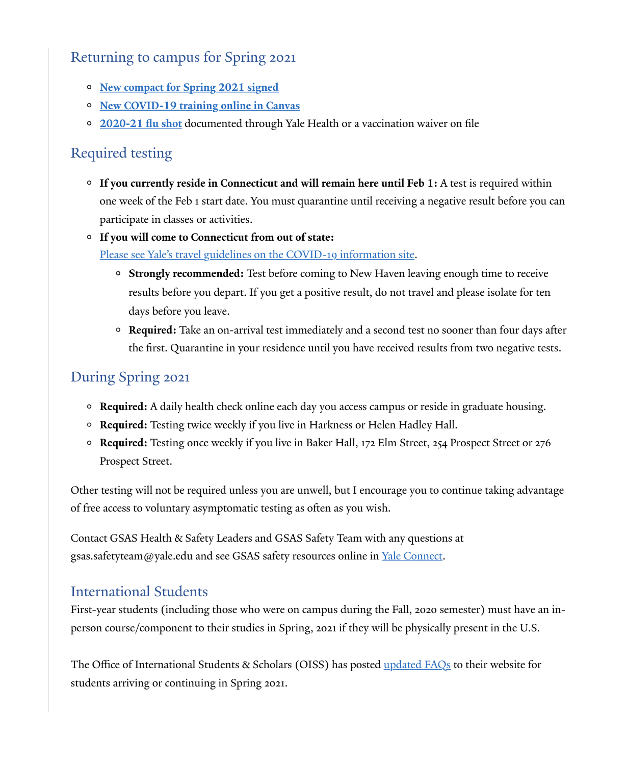### Returning to campus for Spring 2021

- **New compact f[or Spring 2021 signed](https://click.message.yale.edu/?qs=7d1298d453a9eebd53ff38c096dcb51c1477dbd0fddff260d9e21ed99207f7ae1b2b7533e73878f88c4807a074b9191a3a48998da6bfdd01)**
- **[New COVID-19 training online in Canvas](https://click.message.yale.edu/?qs=7d1298d453a9eebd6044a1a3f66f908d99bd636884ff49e5a3729a789a2af3688f9d6228ea6ea0e1d819e22d3b6dfc6431b02f1a93aeb65a)**
- **[2020-21 flu shot](https://click.message.yale.edu/?qs=7d1298d453a9eebdc3abcba30cdb034b05b2ce5d273455a976e23a63688872278185b3d644262555b3268d31890f0762e15e6c5cd5233566)** documented through Yale Health or a vaccination waiver on file

#### Required testing

- **If you currently reside in Connecticut and will remain here until Feb 1:** A test is required within one week of the Feb 1 start date. You must quarantine until receiving a negative result before you can participate in classes or activities.
- **If you will come to Connecticut from out of state:**

[Please see Yale's travel guidelines on the COVID-19 in](https://click.message.yale.edu/?qs=7d1298d453a9eebd5679cc96db6382e25aa27130e906bf06e1bcdca6626575dbd25f10796871223cfcb7825348fb6056b1578cdf9c17cf97)formation site.

- **Strongly recommended:** Test before coming to New Haven leaving enough time to receive results before you depart. If you get a positive result, do not travel and please isolate for ten days before you leave.
- **Required:** Take an on-arrival test immediately and a second test no sooner than four days afer the first. Quarantine in your residence until you have received results from two negative tests.

### During Spring 2021

- **Required:** A daily health check online each day you access campus or reside in graduate housing.
- **Required:** Testing twice weekly if you live in Harkness or Helen Hadley Hall.
- **Required:** Testing once weekly if you live in Baker Hall, 172 Elm Street, 254 Prospect Street or 276 Prospect Street.

Other testing will not be required unless you are unwell, but I encourage you to continue taking advantage of free access to voluntary asymptomatic testing as ofen as you wish.

Contact GSAS Health & Safety Leaders and GSAS Safety Team with any questions at gsas.safetyteam@yale.edu and see GSAS safety resources online in <u>Yale Connect</u>.

#### International Students

First-year students (including those who were on campus during the Fall, 2020 semester) must have an inperson course/component to their studies in Spring, 2021 if they will be physically present in the U.S.

The Office of International Students & Scholars (OISS) has posted <u>updated FAQs</u> to their website for students arriving or continuing in Spring 2021.